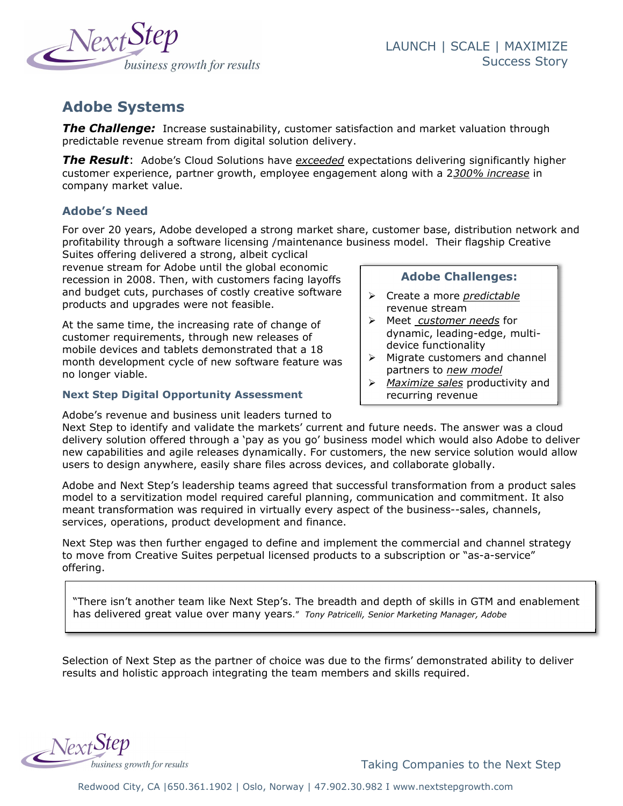

# Adobe Systems

**The Challenge:** Increase sustainability, customer satisfaction and market valuation through predictable revenue stream from digital solution delivery.

**The Result**: Adobe's Cloud Solutions have exceeded expectations delivering significantly higher customer experience, partner growth, employee engagement along with a 2300% increase in company market value.

## Adobe's Need

For over 20 years, Adobe developed a strong market share, customer base, distribution network and profitability through a software licensing /maintenance business model. Their flagship Creative

Suites offering delivered a strong, albeit cyclical revenue stream for Adobe until the global economic recession in 2008. Then, with customers facing layoffs and budget cuts, purchases of costly creative software products and upgrades were not feasible.

At the same time, the increasing rate of change of customer requirements, through new releases of mobile devices and tablets demonstrated that a 18 month development cycle of new software feature was no longer viable.

### Next Step Digital Opportunity Assessment

Adobe's revenue and business unit leaders turned to

Adobe Challenges:

- $\triangleright$  Create a more predictable revenue stream
- $\triangleright$  Meet customer needs for dynamic, leading-edge, multidevice functionality
- $\triangleright$  Migrate customers and channel partners to new model
- $\triangleright$  Maximize sales productivity and recurring revenue

Next Step to identify and validate the markets' current and future needs. The answer was a cloud delivery solution offered through a 'pay as you go' business model which would also Adobe to deliver new capabilities and agile releases dynamically. For customers, the new service solution would allow users to design anywhere, easily share files across devices, and collaborate globally.

Adobe and Next Step's leadership teams agreed that successful transformation from a product sales model to a servitization model required careful planning, communication and commitment. It also meant transformation was required in virtually every aspect of the business--sales, channels, services, operations, product development and finance.

Next Step was then further engaged to define and implement the commercial and channel strategy to move from Creative Suites perpetual licensed products to a subscription or "as-a-service" offering.

"There isn't another team like Next Step's. The breadth and depth of skills in GTM and enablement has delivered great value over many years." Tony Patricelli, Senior Marketing Manager, Adobe

Selection of Next Step as the partner of choice was due to the firms' demonstrated ability to deliver results and holistic approach integrating the team members and skills required.



Taking Companies to the Next Step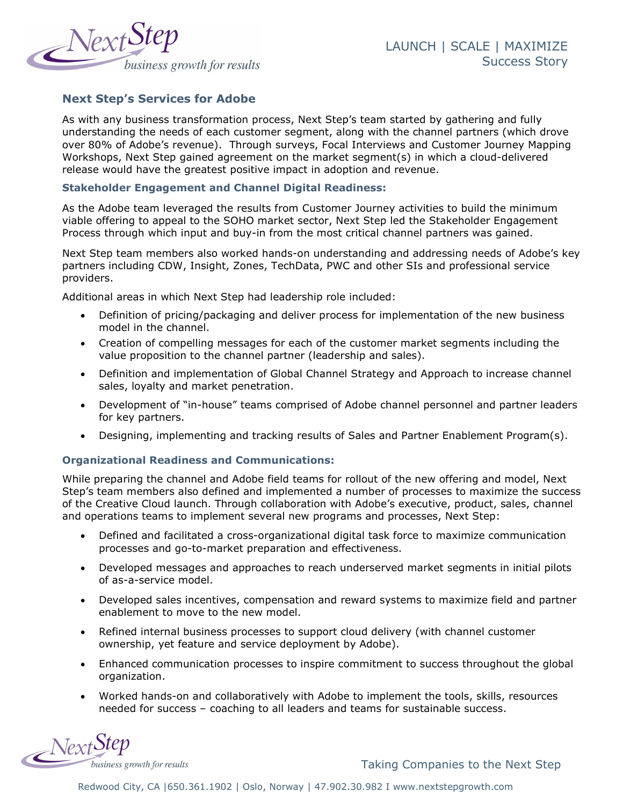

## Next Step's Services for Adobe

As with any business transformation process, Next Step's team started by gathering and fully understanding the needs of each customer segment, along with the channel partners (which drove over 80% of Adobe's revenue). Through surveys, Focal Interviews and Customer Journey Mapping Workshops, Next Step gained agreement on the market segment(s) in which a cloud-delivered release would have the greatest positive impact in adoption and revenue.

#### Stakeholder Engagement and Channel Digital Readiness:

As the Adobe team leveraged the results from Customer Journey activities to build the minimum viable offering to appeal to the SOHO market sector, Next Step led the Stakeholder Engagement Process through which input and buy-in from the most critical channel partners was gained.

Next Step team members also worked hands-on understanding and addressing needs of Adobe's key partners including CDW, Insight, Zones, TechData, PWC and other SIs and professional service providers.

Additional areas in which Next Step had leadership role included:

- Definition of pricing/packaging and deliver process for implementation of the new business model in the channel.
- Creation of compelling messages for each of the customer market segments including the value proposition to the channel partner (leadership and sales).
- Definition and implementation of Global Channel Strategy and Approach to increase channel sales, loyalty and market penetration.
- Development of "in-house" teams comprised of Adobe channel personnel and partner leaders for key partners.
- Designing, implementing and tracking results of Sales and Partner Enablement Program(s).

#### Organizational Readiness and Communications:

While preparing the channel and Adobe field teams for rollout of the new offering and model, Next Step's team members also defined and implemented a number of processes to maximize the success of the Creative Cloud launch. Through collaboration with Adobe's executive, product, sales, channel and operations teams to implement several new programs and processes, Next Step:

- Defined and facilitated a cross-organizational digital task force to maximize communication processes and go-to-market preparation and effectiveness.
- Developed messages and approaches to reach underserved market segments in initial pilots of as-a-service model.
- Developed sales incentives, compensation and reward systems to maximize field and partner enablement to move to the new model.
- Refined internal business processes to support cloud delivery (with channel customer ownership, yet feature and service deployment by Adobe).
- Enhanced communication processes to inspire commitment to success throughout the global organization.
- Worked hands-on and collaboratively with Adobe to implement the tools, skills, resources needed for success – coaching to all leaders and teams for sustainable success.



Taking Companies to the Next Step